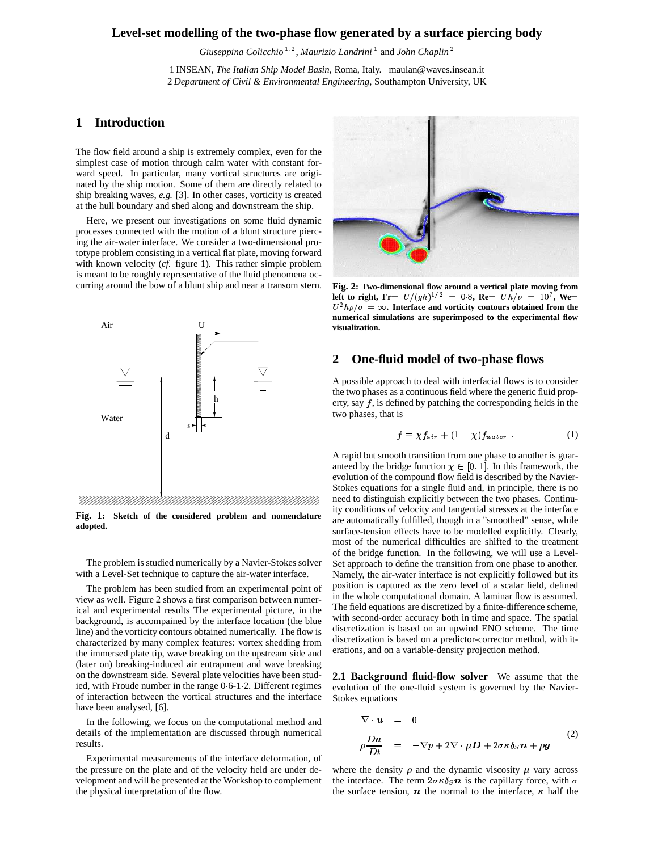## **Level-set modelling of the two-phase flow generated by a surface piercing body**

Giuseppina Colicchio<sup>1,2</sup>, Maurizio Landrini<sup>1</sup> and John Chaplin<sup>2</sup>

1 INSEAN, *The Italian Ship Model Basin*, Roma, Italy. maulan@waves.insean.it 2 *Department of Civil & Environmental Engineering*, Southampton University, UK

## **1 Introduction**

The flow field around a ship is extremely complex, even for the simplest case of motion through calm water with constant forward speed. In particular, many vortical structures are originated by the ship motion. Some of them are directly related to ship breaking waves, *e.g.* [3]. In other cases, vorticity is created at the hull boundary and shed along and downstream the ship.

Here, we present our investigations on some fluid dynamic processes connected with the motion of a blunt structure piercing the air-water interface. We consider a two-dimensional prototype problem consisting in a vertical flat plate, moving forward with known velocity (*cf.* figure 1). This rather simple problem is meant to be roughly representative of the fluid phenomena occurring around the bow of a blunt ship and near a transom stern.



**Fig. 1: Sketch of the considered problem and nomenclature adopted.**

The problem is studied numerically by a Navier-Stokes solver with a Level-Set technique to capture the air-water interface.

The problem has been studied from an experimental point of view as well. Figure 2 shows a first comparison between numerical and experimental results The experimental picture, in the background, is accompained by the interface location (the blue line) and the vorticity contours obtained numerically. The flow is characterized by many complex features: vortex shedding from the immersed plate tip, wave breaking on the upstream side and (later on) breaking-induced air entrapment and wave breaking on the downstream side. Several plate velocities have been studied, with Froude number in the range 0 6-1 2. Different regimes of interaction between the vortical structures and the interface have been analysed, [6].

In the following, we focus on the computational method and details of the implementation are discussed through numerical results.

Experimental measurements of the interface deformation, of the pressure on the plate and of the velocity field are under development and will be presented at the Workshop to complement the physical interpretation of the flow.



**Fig. 2: Two-dimensional flow around a vertical plate moving from left to right, Fr=**  $U/(gh)^{1/2}$  **= 0.8, Re=**  $Uh/\nu$  **= 10<sup>7</sup>, We=**  $U^2 h \rho / \sigma = \infty$ . Interface and vorticity contours obtained from the **numerical simulations are superimposed to the experimental flow visualization.**

## **2 One-fluid model of two-phase flows**

A possible approach to deal with interfacial flows is to consider the two phases as a continuous field where the generic fluid property, say  $f$ , is defined by patching the corresponding fields in the two phases, that is

$$
f = \chi f_{air} + (1 - \chi) f_{water} \tag{1}
$$

A rapid but smooth transition from one phase to another is guaranteed by the bridge function  $\chi \in [0, 1]$ . In this framework, the evolution of the compound flow field is described by the Navier-Stokes equations for a single fluid and, in principle, there is no need to distinguish explicitly between the two phases. Continuity conditions of velocity and tangential stresses at the interface are automatically fulfilled, though in a "smoothed" sense, while surface-tension effects have to be modelled explicitly. Clearly, most of the numerical difficulties are shifted to the treatment of the bridge function. In the following, we will use a Level-Set approach to define the transition from one phase to another. Namely, the air-water interface is not explicitly followed but its position is captured as the zero level of a scalar field, defined in the whole computational domain. A laminar flow is assumed. The field equations are discretized by a finite-difference scheme, with second-order accuracy both in time and space. The spatial discretization is based on an upwind ENO scheme. The time discretization is based on a predictor-corrector method, with iterations, and on a variable-density projection method.

**2.1 Background fluid-flow solver** We assume that the evolution of the one-fluid system is governed by the Navier-Stokes equations

$$
\nabla \cdot \mathbf{u} = 0
$$
  
\n
$$
\rho \frac{D \mathbf{u}}{Dt} = -\nabla p + 2\nabla \cdot \mu \mathbf{D} + 2\sigma \kappa \delta_S \mathbf{n} + \rho \mathbf{g}
$$
\n(2)

where the density  $\rho$  and the dynamic viscosity  $\mu$  vary across the interface. The term  $2\sigma \kappa \delta_S \mathbf{n}$  is the capillary force, with  $\sigma$ the surface tension,  $\boldsymbol{n}$  the normal to the interface,  $\kappa$  half the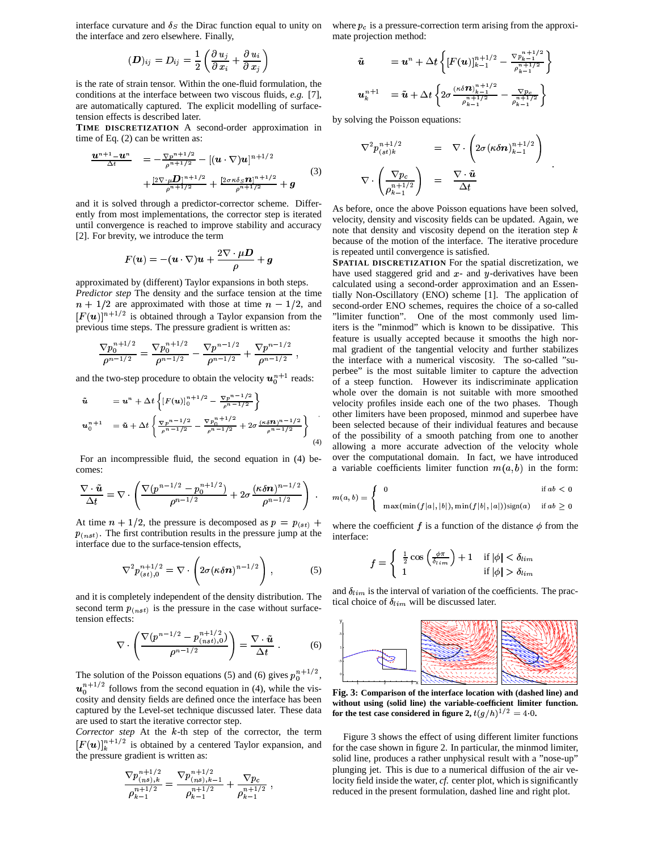interface curvature and  $\delta_S$  the Dirac function equal to unity on the interface and zero elsewhere. Finally,

$$
(\boldsymbol{D})_{ij}=D_{ij}=\frac{1}{2}\left(\frac{\partial\, u_j}{\partial\, x_i}+\frac{\partial\, u_i}{\partial\, x_j}\right)
$$

is the rate of strain tensor. Within the one-fluid formulation, the conditions at the interface between two viscous fluids, *e.g.* [7], are automatically captured. The explicit modelling of surfacetension effects is described later.

**TIME DISCRETIZATION** A second-order approximation in time of Eq. (2) can be written as:

$$
\frac{\boldsymbol{u}^{n+1} - \boldsymbol{u}^{n}}{\Delta t} = -\frac{\nabla p^{n+1/2}}{\rho^{n+1/2}} - [(\boldsymbol{u} \cdot \nabla) \boldsymbol{u}]^{n+1/2} \n+ \frac{[2\nabla \cdot \mu \boldsymbol{D}]^{n+1/2}}{\rho^{n+1/2}} + \frac{[2\sigma \kappa \delta_S \boldsymbol{n}]^{n+1/2}}{\rho^{n+1/2}} + \boldsymbol{g}
$$
\n(3)

and it is solved through a predictor-corrector scheme. Differently from most implementations, the corrector step is iterated until convergence is reached to improve stability and accuracy [2]. For brevity, we introduce the term

$$
F(\boldsymbol{u})=-(\boldsymbol{u}\cdot\nabla)\boldsymbol{u}+\frac{2\nabla\cdot\mu\boldsymbol{D}}{\rho}+\boldsymbol{g}
$$

approximated by (different) Taylor expansions in both steps. *Predictor step* The density and the surface tension at the time  $n + 1/2$  are approximated with those at time  $n - 1/2$ , and se  $[F(u)]^{n+1/2}$  is obtained through a Taylor expansion from the previous time steps. The pressure gradient is written as:

$$
\frac{\nabla p_0^{n+1/2}}{\rho^{n-1/2}} = \frac{\nabla p_0^{n+1/2}}{\rho^{n-1/2}} - \frac{\nabla p^{n-1/2}}{\rho^{n-1/2}} + \frac{\nabla p^{n-1/2}}{\rho^{n-1/2}} ,
$$

and the two-step procedure to obtain the velocity  $u_0^{n+1}$  reads:

$$
\tilde{\mathbf{u}} = \mathbf{u}^{n} + \Delta t \left\{ [F(\mathbf{u})]_{0}^{n+1/2} - \frac{\nabla p^{n-1/2}}{\rho^{n-1/2}} \right\}
$$
\n
$$
\mathbf{u}_{0}^{n+1} = \tilde{\mathbf{u}} + \Delta t \left\{ \frac{\nabla p^{n-1/2}}{\rho^{n-1/2}} - \frac{\nabla p_{0}^{n+1/2}}{\rho^{n-1/2}} + 2\sigma \frac{(\kappa \delta \mathbf{n})^{n-1/2}}{\rho^{n-1/2}} \right\} \tag{4}
$$

For an incompressible fluid, the second equation in (4) becomes:

$$
\frac{\nabla \cdot \tilde{\boldsymbol{u}}}{\Delta t} = \nabla \cdot \left( \frac{\nabla (p^{n-1/2} - p_0^{n+1/2})}{\rho^{n-1/2}} + 2\sigma \frac{(\kappa \delta \boldsymbol{n})^{n-1/2}}{\rho^{n-1/2}} \right) \quad ,
$$

At time  $n + 1/2$ , the pressure is decomposed as  $p = p_{(st)} + \theta_{wh}$  $p_{(nst)}$ . The first contribution results in the pressure jump at the interface due to the surface-tension effects,

$$
\nabla^2 p_{(st),0}^{n+1/2} = \nabla \cdot \left( 2\sigma (\kappa \delta \mathbf{n})^{n-1/2} \right), \tag{5}
$$

and it is completely independent of the density distribution. The second term  $p_{(nst)}$  is the pressure in the case without surfacetension effects:

$$
\nabla \cdot \left( \frac{\nabla (p^{n-1/2} - p_{(nst),0}^{n+1/2})}{\rho^{n-1/2}} \right) = \frac{\nabla \cdot \tilde{u}}{\Delta t} \ . \tag{6}
$$

The solution of the Poisson equations (5) and (6) gives  $p_0^{n+1/2}$ ,  $u_0^{n+1/2}$  follows from the second equation in (4), while the viscosity and density fields are defined once the interface has been captured by the Level-set technique discussed later. These data are used to start the iterative corrector step.

*Corrector step* At the  $k$ -th step of the corrector, the term  $[F(u)]_k^{n+1/2}$  is obtained by a centered Taylor expansion, and the pressure gradient is written as:

$$
\frac{\nabla p_{(ns),k}^{n+1/2}}{\rho_{k-1}^{n+1/2}} = \frac{\nabla p_{(ns),k-1}^{n+1/2}}{\rho_{k-1}^{n+1/2}} + \frac{\nabla p_c}{\rho_{k-1}^{n+1/2}} ,
$$

where  $p_c$  is a pressure-correction term arising from the approximate projection method:

$$
\tilde{u} = u^{n} + \Delta t \left\{ [F(u)]_{k-1}^{n+1/2} - \frac{\nabla p_{k-1}^{n+1/2}}{\rho_{k-1}^{n+1/2}} \right\}
$$
\n
$$
u_{k}^{n+1} = \tilde{u} + \Delta t \left\{ 2\sigma \frac{(\kappa \delta \mathbf{D})_{k-1}^{n+1/2}}{\rho_{k-1}^{n+1/2}} - \frac{\nabla p_{c}}{\rho_{k-1}^{n+1/2}} \right\}
$$

by solving the Poisson equations:

$$
\nabla^2 p_{(st)k}^{n+1/2} = \nabla \cdot \left( 2\sigma (\kappa \delta \mathbf{n})_{k-1}^{n+1/2} \right)
$$
  

$$
\nabla \cdot \left( \frac{\nabla p_c}{\rho_{k-1}^{n+1/2}} \right) = \frac{\nabla \cdot \tilde{\mathbf{u}}}{\Delta t}
$$

'

As before, once the above Poisson equations have been solved, velocity, density and viscosity fields can be updated. Again, we note that density and viscosity depend on the iteration step  $k$ because of the motion of the interface. The iterative procedure is repeated until convergence is satisfied.

 $-\frac{\nabla p_0^{n+1/2}}{p^{n-1/2}}+2\sigma\frac{(\kappa\delta n)^{n-1/2}}{p^{n-1/2}}\}$  been selected because of their individual features and because **SPATIAL DISCRETIZATION** For the spatial discretization, we have used staggered grid and  $x$ - and  $y$ -derivatives have been calculated using a second-order approximation and an Essentially Non-Oscillatory (ENO) scheme [1]. The application of second-order ENO schemes, requires the choice of a so-called "limiter function". One of the most commonly used limiters is the "minmod" which is known to be dissipative. This feature is usually accepted because it smooths the high normal gradient of the tangential velocity and further stabilizes the interface with a numerical viscosity. The so-called "superbee" is the most suitable limiter to capture the advection of a steep function. However its indiscriminate application whole over the domain is not suitable with more smoothed velocity profiles inside each one of the two phases. Though other limiters have been proposed, minmod and superbee have of the possibility of a smooth patching from one to another allowing a more accurate advection of the velocity whole over the computational domain. In fact, we have introduced a variable coefficients limiter function  $m(a, b)$  in the form:

$$
\begin{cases}\n0 & \text{if } ab < 0 \\
\max(\min(f|a|, |b|), \min(f|b|, |a|))\text{sign}(a) & \text{if } ab \ge 0\n\end{cases}
$$

<sup>t)</sup> <sup>+</sup> where the coefficient f is a function of the distance  $\phi$  from the interface:

$$
f = \begin{cases} \frac{1}{2}\cos\left(\frac{\phi\pi}{\delta_{lim}}\right) + 1 & \text{if } |\phi| < \delta_{lim} \\ 1 & \text{if } |\phi| > \delta_{lim} \end{cases}
$$

and  $\delta_{lim}$  is the interval of variation of the coefficients. The practical choice of  $\delta_{lim}$  will be discussed later.



**Fig. 3: Comparison of the interface location with (dashed line) and without using (solid line) the variable-coefficient limiter function.** for the test case considered in figure 2,  $t(g/h)^{1/2} = 4.0$ .

Figure 3 shows the effect of using different limiter functions for the case shown in figure 2. In particular, the minmod limiter, solid line, produces a rather unphysical result with a "nose-up" plunging jet. This is due to a numerical diffusion of the air velocity field inside the water, *cf.* center plot, which is significantly reduced in the present formulation, dashed line and right plot.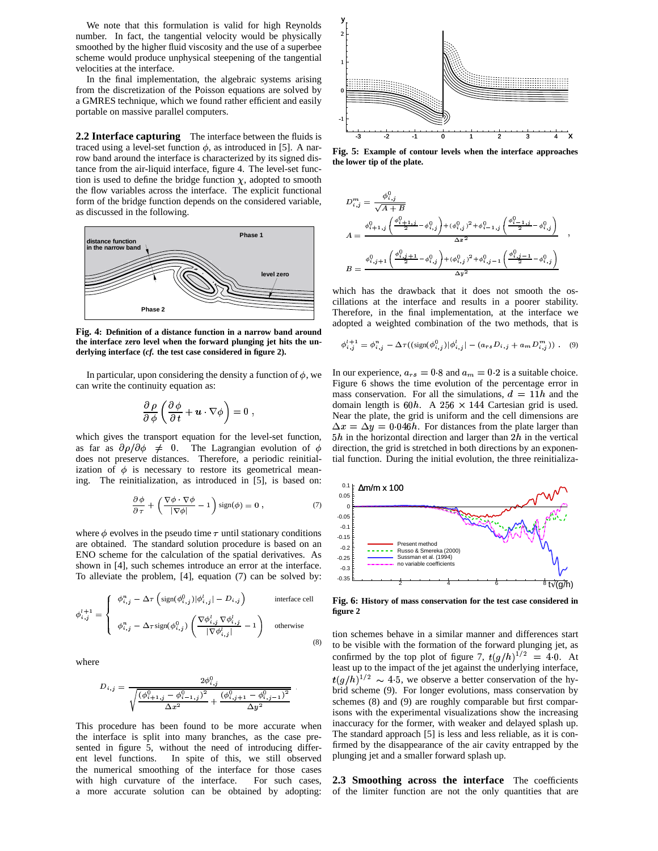We note that this formulation is valid for high Reynolds number. In fact, the tangential velocity would be physically smoothed by the higher fluid viscosity and the use of a superbee scheme would produce unphysical steepening of the tangential velocities at the interface.

In the final implementation, the algebraic systems arising from the discretization of the Poisson equations are solved by a GMRES technique, which we found rather efficient and easily portable on massive parallel computers.

**2.2 Interface capturing** The interface between the fluids is traced using a level-set function  $\phi$ , as introduced in [5]. A narrow band around the interface is characterized by its signed distance from the air-liquid interface, figure 4. The level-set function is used to define the bridge function  $\chi$ , adopted to smooth the flow variables across the interface. The explicit functional form of the bridge function depends on the considered variable, as discussed in the following.



**Fig. 4: Definition of a distance function in a narrow band around the interface zero level when the forward plunging jet hits the underlying interface (***cf.* **the test case considered in figure 2).**

In particular, upon considering the density a function of  $\phi$ , we can write the continuity equation as:

$$
\frac{\partial \, \rho}{\partial \, \phi} \left( \frac{\partial \, \phi}{\partial \, t} + \boldsymbol{u} \cdot \nabla \phi \right) = 0 \,\, ,
$$

which gives the transport equation for the level-set function, as far as  $\partial \rho / \partial \phi \neq 0$ . The Lagrangian evolution of  $\phi$  direction does not preserve distances. Therefore, a periodic reinitialization of  $\phi$  is necessary to restore its geometrical meaning. The reinitialization, as introduced in [5], is based on:

$$
\frac{\partial \phi}{\partial \tau} + \left( \frac{\nabla \phi \cdot \nabla \phi}{|\nabla \phi|} - 1 \right) \text{sign}(\phi) = 0 , \qquad (7)
$$

where  $\phi$  evolves in the pseudo time  $\tau$  until stationary conditions are obtained. The standard solution procedure is based on an ENO scheme for the calculation of the spatial derivatives. As shown in [4], such schemes introduce an error at the interface. To alleviate the problem, [4], equation (7) can be solved by:

$$
\phi_{i,j}^{l+1} = \begin{cases}\n\phi_{i,j}^n - \Delta \tau \left( \text{sign}(\phi_{i,j}^0) | \phi_{i,j}^l | - D_{i,j} \right) & \text{interface cell} \\
\phi_{i,j}^n - \Delta \tau \text{sign}(\phi_{i,j}^0) \left( \frac{\nabla \phi_{i,j}^l \nabla \phi_{i,j}^l}{|\nabla \phi_{i,j}^l|} - 1 \right) & \text{otherwise}\n\end{cases}
$$
\n(8)

where

$$
D_{i,j} = \frac{2\phi_{i,j}^0}{\sqrt{\frac{\left(\phi_{i+1,j}^0 - \phi_{i-1,j}^0\right)^2}{\Delta x^2} + \frac{\left(\phi_{i,j+1}^0 - \phi_{i,j-1}^0\right)^2}{\Delta y^2}}}.
$$

This procedure has been found to be more accurate when the interface is split into many branches, as the case presented in figure 5, without the need of introducing different level functions. In spite of this, we still observed the numerical smoothing of the interface for those cases with high curvature of the interface. For such cases, a more accurate solution can be obtained by adopting:



**Fig. 5: Example of contour levels when the interface approaches the lower tip of the plate.**

$$
D_{i,j}^{m} = \frac{\phi_{i,j}^{0}}{\sqrt{A+B}}
$$
  
\n
$$
A = \frac{\phi_{i,j}^{0} + \left(\frac{\phi_{i,j}^{0} + 1, j}{2} - \phi_{i,j}^{0}\right) + (\phi_{i,j}^{0})^{2} + \phi_{i-1,j}^{0}}{\Delta x^{2}} \left(\frac{\phi_{i,j-1,j}^{0} - \phi_{i,j}^{0}}{2}\right)}
$$
  
\n
$$
B = \frac{\phi_{i,j+1}^{0}\left(\frac{\phi_{i,j+1}^{0} - \phi_{i,j}^{0}}{2}\right) + (\phi_{i,j}^{0})^{2} + \phi_{i,j-1}^{0}\left(\frac{\phi_{i,j-1}^{0} - \phi_{i,j}^{0}}{2}\right)}{\Delta y^{2}}
$$

which has the drawback that it does not smooth the oscillations at the interface and results in a poorer stability. Therefore, in the final implementation, at the interface we adopted a weighted combination of the two methods, that is

$$
\phi_{i,j}^{l+1} = \phi_{i,j}^{n} - \Delta \tau ((\text{sign}(\phi_{i,j}^{0})|\phi_{i,j}^{l}| - (a_{rs}D_{i,j} + a_{m}D_{i,j}^{m})) . \quad (9)
$$

In our experience,  $a_{rs} = 0.8$  and  $a_m = 0.2$  is a suitable choice. Figure 6 shows the time evolution of the percentage error in mass conservation. For all the simulations,  $d = 11h$  and the domain length is  $60h$ . A  $256 \times 144$  Cartesian grid is used. Near the plate, the grid is uniform and the cell dimensions are  $\Delta x = \Delta y = 0.046h$ . For distances from the plate larger than  $5h$  in the horizontal direction and larger than  $2h$  in the vertical direction, the grid is stretched in both directions by an exponential function. During the initial evolution, the three reinitializa-



**Fig. 6: History of mass conservation for the test case considered in figure 2**

tion schemes behave in a similar manner and differences start to be visible with the formation of the forward plunging jet, as confirmed by the top plot of figure 7,  $t(g/h)^{1/2} = 4.0$ . At least up to the impact of the jet against the underlying interface,  $t(g/h)^{1/2} \sim 4.5$ , we observe a better conservation of the hybrid scheme (9). For longer evolutions, mass conservation by schemes (8) and (9) are roughly comparable but first comparisons with the experimental visualizations show the increasing inaccuracy for the former, with weaker and delayed splash up. The standard approach [5] is less and less reliable, as it is confirmed by the disappearance of the air cavity entrapped by the plunging jet and a smaller forward splash up.

**2.3 Smoothing across the interface** The coefficients of the limiter function are not the only quantities that are